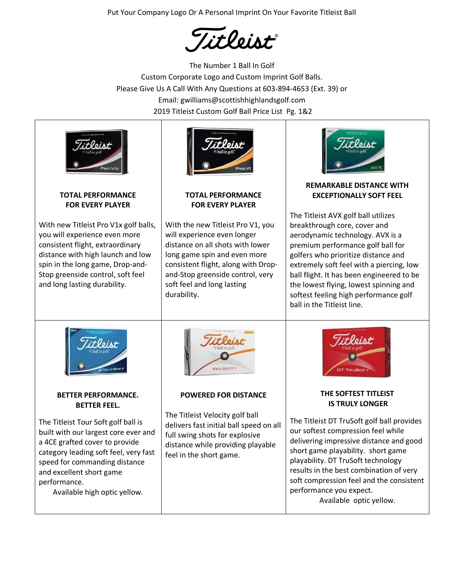Put Your Company Logo Or A Personal Imprint On Your Favorite Titleist Ball

Titleist

The Number 1 Ball In Golf Custom Corporate Logo and Custom Imprint Golf Balls. Please Give Us A Call With Any Questions at 603-894-4653 (Ext. 39) or Email: gwilliams@scottishhighlandsgolf.com 2019 Titleist Custom Golf Ball Price List Pg. 1&2



#### **TOTAL PERFORMANCE FOR EVERY PLAYER**

With new Titleist Pro V1x golf balls, you will experience even more consistent flight, extraordinary distance with high launch and low spin in the long game, Drop-and-Stop greenside control, soft feel and long lasting durability.



# **TOTAL PERFORMANCE FOR EVERY PLAYER**

With the new Titleist Pro V1, you will experience even longer distance on all shots with lower long game spin and even more consistent flight, along with Dropand-Stop greenside control, very soft feel and long lasting durability.



# **REMARKABLE DISTANCE WITH EXCEPTIONALLY SOFT FEEL**

The Titleist AVX golf ball utilizes breakthrough core, cover and aerodynamic technology. AVX is a premium performance golf ball for golfers who prioritize distance and extremely soft feel with a piercing, low ball flight. It has been engineered to be the lowest flying, lowest spinning and softest feeling high performance golf ball in the Titleist line.



## **BETTER PERFORMANCE. BETTER FEEL.**

The Titleist Tour Soft golf ball is built with our largest core ever and a 4CE grafted cover to provide category leading soft feel, very fast speed for commanding distance and excellent short game performance.

Available high optic yellow.



# **POWERED FOR DISTANCE**

The Titleist Velocity golf ball delivers fast initial ball speed on all full swing shots for explosive distance while providing playable feel in the short game.



## **THE SOFTEST TITLEIST IS TRULY LONGER**

The Titleist DT TruSoft golf ball provides our softest compression feel while delivering impressive distance and good short game playability. short game playability. DT TruSoft technology results in the best combination of very soft compression feel and the consistent performance you expect. Available optic yellow.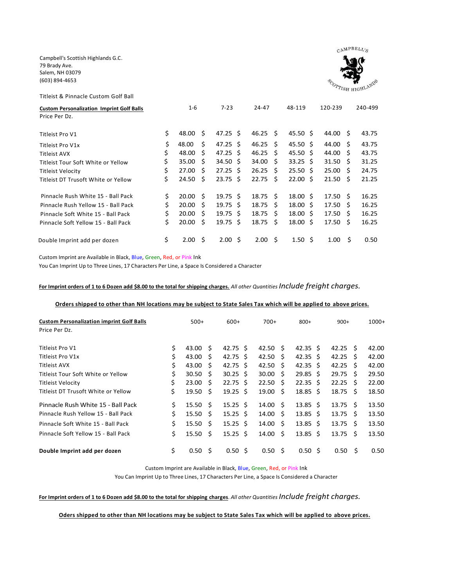Campbell's Scottish Highlands G.C. 79 Brady Ave. Salem, NH 03079 (603) 894-4653



| Titleist & Pinnacle Custom Golf Ball                              |             |     |                     |                  |    |                           |                    |    |         |
|-------------------------------------------------------------------|-------------|-----|---------------------|------------------|----|---------------------------|--------------------|----|---------|
| <b>Custom Personalization Imprint Golf Balls</b><br>Price Per Dz. | $1 - 6$     |     | $7 - 23$            | $24 - 47$        |    | 48-119                    | 120-239            |    | 240-499 |
| Titleist Pro V1                                                   | \$<br>48.00 | \$  | $47.25 \text{ }$    | $46.25 \quad$ \$ |    | 45.50 \$                  | 44.00 \$           |    | 43.75   |
| Titleist Pro V1x                                                  | \$<br>48.00 | Ŝ.  | 47.25 S             | $46.25 \quad S$  |    | 45.50 S                   | 44.00 S            |    | 43.75   |
| Titleist AVX                                                      | \$<br>48.00 | - S | $47.25 \text{ }$    | $46.25 \quad$ \$ |    | $45.50 \text{ }$          | 44.00 \$           |    | 43.75   |
| Titleist Tour Soft White or Yellow                                | \$<br>35.00 | - S | $34.50 \; \text{S}$ | $34.00 \quad $$  |    | $33.25 \pm 5$             | $31.50 \pm 5$      |    | 31.25   |
| Titleist Velocity                                                 | \$<br>27.00 | \$  | $27.25 \text{ }$    | $26.25 \quad$    |    | $25.50\;$ \$              | $25.00 \quad$ \$   |    | 24.75   |
| Titleist DT Trusoft White or Yellow                               | \$<br>24.50 | Ŝ.  | $23.75 \text{ }$    | 22.75            | S. | $22.00 \text{ } \text{S}$ | $21.50 \pm 5$      |    | 21.25   |
| Pinnacle Rush White 15 - Ball Pack                                | \$<br>20.00 | Ŝ.  | $19.75 \text{ }$    | $18.75 \quad S$  |    | $18.00 \text{ } \text{S}$ | 17.50 <sub>5</sub> |    | 16.25   |
| Pinnacle Rush Yellow 15 - Ball Pack                               | \$<br>20.00 | Ŝ.  | $19.75 \text{ } S$  | 18.75 S          |    | $18.00 \; \;$ \$          | 17.50              | S. | 16.25   |
| Pinnacle Soft White 15 - Ball Pack                                | \$<br>20.00 | -S  | $19.75 \text{ }$    | $18.75 \quad$    |    | $18.00 \; \;$ \$          | $17.50 \pm 5$      |    | 16.25   |
| Pinnacle Soft Yellow 15 - Ball Pack                               | \$<br>20.00 | \$. | $19.75 \text{ }$    | $18.75 \quad$ \$ |    | $18.00 \pm 5$             | $17.50 \pm 5$      |    | 16.25   |
| Double Imprint add per dozen                                      | \$<br>2.00  | Ŝ.  | $2.00 \pm$          | $2.00 \quad$ \$  |    | $1.50 \; \text{S}$        | 1.00               | Ŝ  | 0.50    |

Custom Imprint are Available in Black, Blue, Green, Red, or Pink Ink

You Can Imprint Up to Three Lines, 17 Characters Per Line, a Space Is Considered a Character

**For Imprint orders of 1 to 6 Dozen add \$8.00 to the total for shipping charges.** *All other Quantities Include freight charges.*

#### **Orders shipped to other than NH locations may be subject to State Sales Tax which will be applied to above prices.**

| <b>Custom Personalization imprint Golf Balls</b> |    | $500+$             |     | $600+$                    |  | $700+$ |              | $800+$                    |  | $900+$           |      | $1000+$ |
|--------------------------------------------------|----|--------------------|-----|---------------------------|--|--------|--------------|---------------------------|--|------------------|------|---------|
| Price Per Dz.                                    |    |                    |     |                           |  |        |              |                           |  |                  |      |         |
| Titleist Pro V1                                  | \$ | 43.00 S            |     | 42.75 S                   |  | 42.50  | - S          | $42.35 \text{ }$          |  | $42.25 \quad S$  |      | 42.00   |
| Titleist Pro V1x                                 | \$ | 43.00              | S   | 42.75 S                   |  | 42.50  | -S           | $42.35 \text{ }$          |  | $42.25 \quad S$  |      | 42.00   |
| Titleist AVX                                     | \$ | 43.00              | - S | 42.75 S                   |  | 42.50  | -S           | $42.35 \text{ }$          |  | $42.25 \quad S$  |      | 42.00   |
| Titleist Tour Soft White or Yellow               | \$ | 30.50              | - S | $30.25 \text{ } \text{S}$ |  | 30.00  | S.           | $29.85 \text{ }$          |  | $29.75 \quad$ \$ |      | 29.50   |
| Titleist Velocity                                | \$ | 23.00              | - Ś | 22.75 S                   |  | 22.50  | <sub>S</sub> | $22.35 \text{ }$          |  | $22.25 \quad S$  |      | 22.00   |
| Titleist DT Trusoft White or Yellow              | \$ | 19.50              | - Ś | $19.25 \text{ }$          |  | 19.00  | Ś            | $18.85 \; \;$ \$          |  | $18.75 \quad$ \$ |      | 18.50   |
| Pinnacle Rush White 15 - Ball Pack               | Ś. | 15.50 <sub>5</sub> |     | $15.25 \text{ }$          |  | 14.00  | S.           | $13.85 \quad $$           |  | $13.75 \quad S$  |      | 13.50   |
| Pinnacle Rush Yellow 15 - Ball Pack              | Ś. | 15.50 <sub>5</sub> |     | $15.25 \text{ } \text{S}$ |  | 14.00  | Ŝ.           | $13.85 \text{ } \text{S}$ |  | $13.75 \quad$ \$ |      | 13.50   |
| Pinnacle Soft White 15 - Ball Pack               | Ś. | $15.50 \quad $$    |     | $15.25 \text{ } S$        |  | 14.00  | - S          | $13.85 \text{ } \text{S}$ |  | $13.75 \quad S$  |      | 13.50   |
| Pinnacle Soft Yellow 15 - Ball Pack              | Ś. | $15.50 \pm 5$      |     | $15.25 \text{ } S$        |  | 14.00  | Ŝ.           | $13.85 \; \; \sf{S}$      |  | $13.75 \quad$ \$ |      | 13.50   |
| Double Imprint add per dozen                     | Ś. | $0.50 \quad$ \$    |     | 0.50 <sub>5</sub>         |  | 0.50   | -S           | $0.50 \,$ \$              |  | 0.50             | - \$ | 0.50    |

Custom Imprint are Available in Black, Blue, Green, Red, or Pink Ink

You Can Imprint Up to Three Lines, 17 Characters Per Line, a Space Is Considered a Character

**For Imprint orders of 1 to 6 Dozen add \$8.00 to the total for shipping charges**. *All other Quantities Include freight charges.*

**Oders shipped to other than NH locations may be subject to State Sales Tax which will be applied to above prices.**